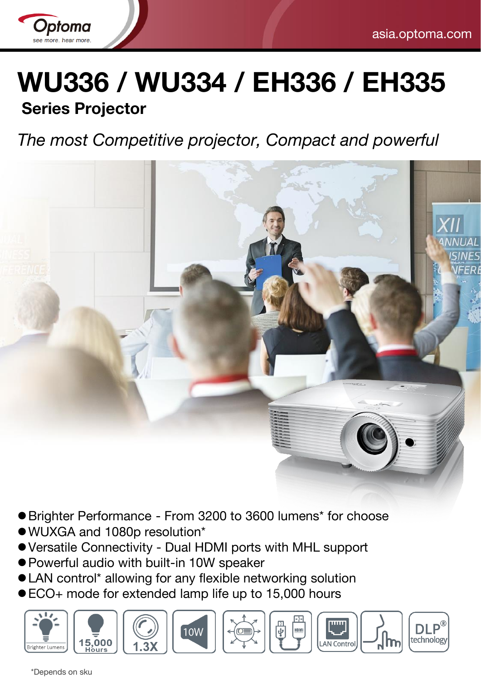

# **WU336 / WU334 / EH336 / EH335**

# **Series Projector**

# *The most Competitive projector, Compact and powerful*



- Brighter Performance From 3200 to 3600 lumens\* for choose
- WUXGA and 1080p resolution\*
- Versatile Connectivity Dual HDMI ports with MHL support
- Powerful audio with built-in 10W speaker
- LAN control\* allowing for any flexible networking solution
- ECO+ mode for extended lamp life up to 15,000 hours











\*Depends on sku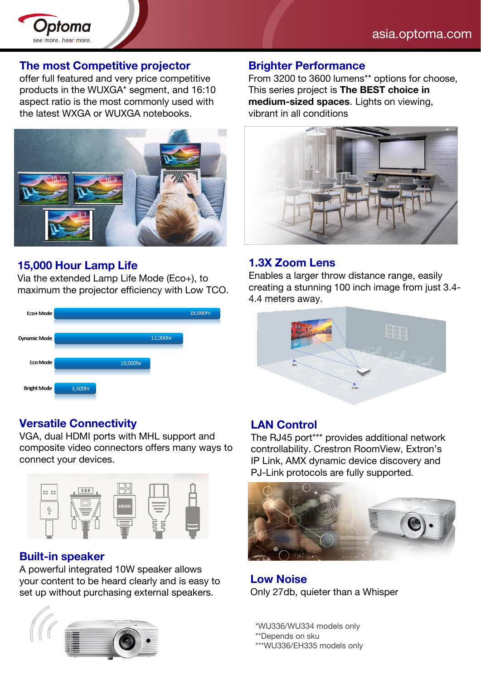

#### **The most Competitive projector**

offer full featured and very price competitive products in the WUXGA\* segment, and 16:10 aspect ratio is the most commonly used with the latest WXGA or WUXGA notebooks.



#### **15,000 Hour Lamp Life**

Via the extended Lamp Life Mode (Eco+), to maximum the projector efficiency with Low TCO.



#### **Versatile Connectivity**

VGA, dual HDMI ports with MHL support and composite video connectors offers many ways to connect your devices.



#### **Built-in speaker**

A powerful integrated 10W speaker allows your content to be heard clearly and is easy to set up without purchasing external speakers.



#### **Brighter Performance**

From 3200 to 3600 lumens\*\* options for choose, This series project is **The BEST choice in medium-sized spaces**. Lights on viewing, vibrant in all conditions



#### **1.3X Zoom Lens**

Enables a larger throw distance range, easily creating a stunning 100 inch image from just 3.4- 4.4 meters away.



#### **LAN Control**

The RJ45 port\*\*\* provides additional network controllability. Crestron RoomView, Extron's IP Link, AMX dynamic device discovery and PJ-Link protocols are fully supported.



**Low Noise**  Only 27db, quieter than a Whisper

\*WU336/WU334 models only

\*\*Depends on sku

\*\*\*WU336/EH335 models only